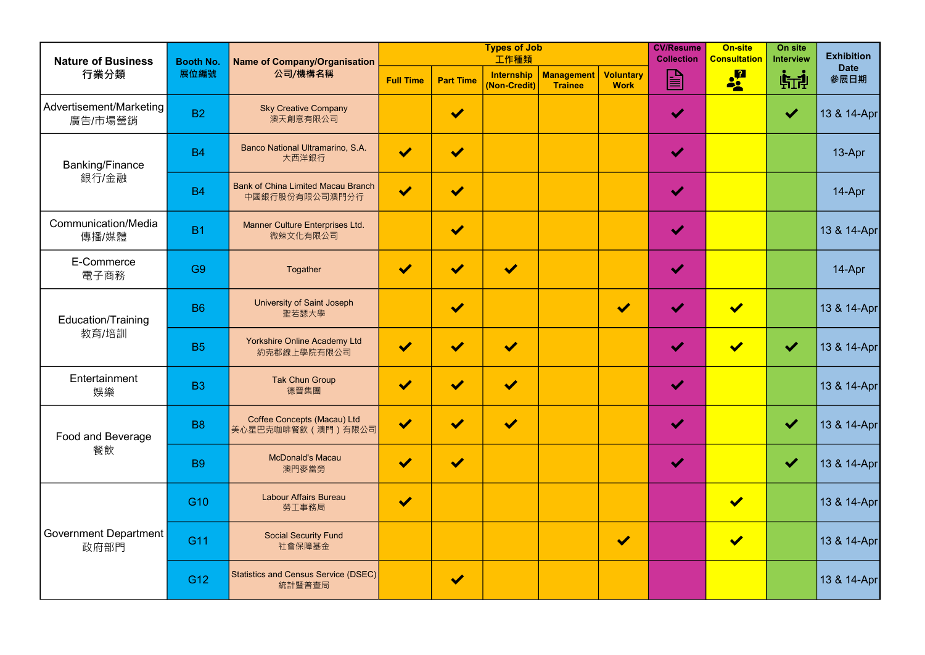| <b>Nature of Business</b>            | <b>Booth No.</b><br>展位編號 | <b>Name of Company/Organisation</b><br>公司/機構名稱              |                       |                      | <b>Types of Job</b><br>工作種類 |                                     | <b>CV/Resume</b><br><b>Collection</b> | <b>On-site</b><br><b>Consultation</b> | On site<br><b>Interview</b> | <b>Exhibition</b>    |                     |
|--------------------------------------|--------------------------|-------------------------------------------------------------|-----------------------|----------------------|-----------------------------|-------------------------------------|---------------------------------------|---------------------------------------|-----------------------------|----------------------|---------------------|
| 行業分類                                 |                          |                                                             | <b>Full Time</b>      | <b>Part Time</b>     | Internship<br>(Non-Credit)  | <b>Management</b><br><b>Trainee</b> | <b>Voluntary</b><br><b>Work</b>       | $\mathbf{E}$                          | <b>of</b>                   | 航印                   | <b>Date</b><br>參展日期 |
| Advertisement/Marketing<br>廣告/市場營銷   | <b>B2</b>                | <b>Sky Creative Company</b><br>澳天創意有限公司                     |                       | $\blacktriangledown$ |                             |                                     |                                       | $\blacktriangledown$                  |                             | $\blacktriangledown$ | 13 & 14-Apr         |
| <b>Banking/Finance</b><br>銀行/金融      | <b>B4</b>                | Banco National Ultramarino, S.A.<br>大西洋銀行                   | $\blacktriangledown$  | $\blacktriangledown$ |                             |                                     |                                       | $\blacktriangledown$                  |                             |                      | 13-Apr              |
|                                      | <b>B4</b>                | <b>Bank of China Limited Macau Branch</b><br>中國銀行股份有限公司澳門分行 | $\blacktriangledown$  | $\blacktriangledown$ |                             |                                     |                                       | $\blacktriangledown$                  |                             |                      | 14-Apr              |
| <b>Communication/Media</b><br>傳播/媒體  | <b>B1</b>                | Manner Culture Enterprises Ltd.<br>微辣文化有限公司                 |                       | $\blacktriangledown$ |                             |                                     |                                       | $\blacktriangledown$                  |                             |                      | 13 & 14-Apr         |
| E-Commerce<br>電子商務                   | G <sub>9</sub>           | Togather                                                    | $\blacktriangledown$  | N                    | $\blacktriangledown$        |                                     |                                       | $\blacktriangledown$                  |                             |                      | 14-Apr              |
| <b>Education/Training</b><br>教育/培訓   | <b>B6</b>                | University of Saint Joseph<br>聖若瑟大學                         |                       | $\blacktriangledown$ |                             |                                     | $\blacktriangledown$                  | $\blacktriangleright$                 | $\blacktriangledown$        |                      | 13 & 14-Apr         |
|                                      | <b>B5</b>                | <b>Yorkshire Online Academy Ltd</b><br>約克郡線上學院有限公司          | $\blacktriangledown$  | $\blacklozenge$      | $\blacktriangledown$        |                                     |                                       | $\blacktriangledown$                  | $\blacktriangledown$        | $\blacktriangledown$ | 13 & 14-Apr         |
| Entertainment<br>娛樂                  | <b>B3</b>                | <b>Tak Chun Group</b><br>德晉集團                               | $\blacktriangleright$ | $\blacktriangledown$ | $\blacktriangledown$        |                                     |                                       | $\blacktriangledown$                  |                             |                      | 13 & 14-Apr         |
| <b>Food and Beverage</b>             | <b>B8</b>                | <b>Coffee Concepts (Macau) Ltd</b><br>美心星巴克咖啡餐飲 (澳門) 有限公司   | $\blacktriangledown$  | $\blacktriangledown$ | $\blacktriangledown$        |                                     |                                       | $\blacktriangledown$                  |                             | $\blacktriangledown$ | 13 & 14-Apr         |
| 餐飲                                   | <b>B9</b>                | <b>McDonald's Macau</b><br>澳門麥當勞                            | $\blacktriangledown$  | $\blacktriangledown$ |                             |                                     |                                       | $\blacktriangledown$                  |                             | $\blacktriangledown$ | 13 & 14-Apr         |
| <b>Government Department</b><br>政府部門 | G <sub>10</sub>          | <b>Labour Affairs Bureau</b><br>勞工事務局                       | $\blacktriangledown$  |                      |                             |                                     |                                       |                                       | $\blacktriangledown$        |                      | 13 & 14-Apr         |
|                                      | G11                      | <b>Social Security Fund</b><br>社會保障基金                       |                       |                      |                             |                                     | $\blacktriangledown$                  |                                       | $\blacktriangledown$        |                      | 13 & 14-Apr         |
|                                      | G12                      | Statistics and Census Service (DSEC)<br>統計暨普查局              |                       | $\blacktriangledown$ |                             |                                     |                                       |                                       |                             |                      | 13 & 14-Apr         |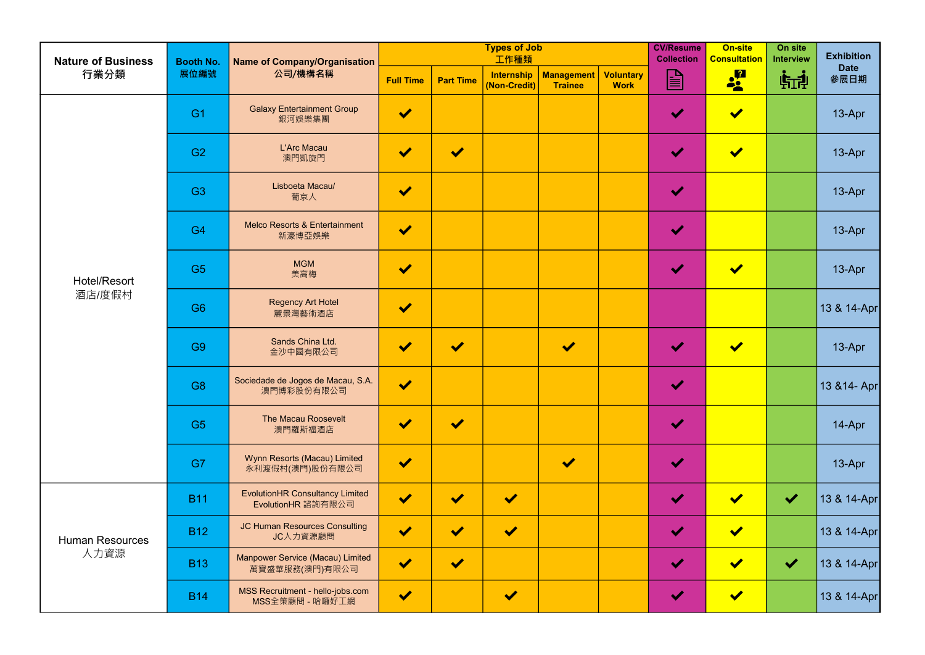| <b>Nature of Business</b><br>行業分類 | <b>Booth No.</b><br>展位編號 | <b>Name of Company/Organisation</b><br>公司/機構名稱               |                      |                      | <b>Types of Job</b><br>工作種類       |                              | <b>CV/Resume</b><br><b>Collection</b> | <b>On-site</b><br><b>Consultation</b> | On site<br><b>Interview</b> | <b>Exhibition</b>    |                     |
|-----------------------------------|--------------------------|--------------------------------------------------------------|----------------------|----------------------|-----------------------------------|------------------------------|---------------------------------------|---------------------------------------|-----------------------------|----------------------|---------------------|
|                                   |                          |                                                              | <b>Full Time</b>     | <b>Part Time</b>     | <b>Internship</b><br>(Non-Credit) | Management<br><b>Trainee</b> | <b>Voluntary</b><br><b>Work</b>       | $\blacksquare$                        | <b>of</b> a                 | 航乱                   | <b>Date</b><br>參展日期 |
|                                   | G <sub>1</sub>           | <b>Galaxy Entertainment Group</b><br>銀河娛樂集團                  | $\blacktriangledown$ |                      |                                   |                              |                                       | $\blacktriangledown$                  | $\blacktriangledown$        |                      | 13-Apr              |
|                                   | G <sub>2</sub>           | L'Arc Macau<br>澳門凱旋門                                         | $\blacktriangledown$ | $\blacktriangledown$ |                                   |                              |                                       | $\blacktriangledown$                  | $\blacktriangledown$        |                      | 13-Apr              |
|                                   | G <sub>3</sub>           | Lisboeta Macau/<br>葡京人                                       | $\blacktriangledown$ |                      |                                   |                              |                                       | $\blacktriangledown$                  |                             |                      | 13-Apr              |
|                                   | G <sub>4</sub>           | <b>Melco Resorts &amp; Entertainment</b><br>新濠博亞娛樂           | $\blacktriangledown$ |                      |                                   |                              |                                       | $\blacktriangledown$                  |                             |                      | 13-Apr              |
| Hotel/Resort<br>酒店/度假村            | G <sub>5</sub>           | <b>MGM</b><br>美高梅                                            | $\blacktriangledown$ |                      |                                   |                              |                                       | $\blacktriangledown$                  | $\blacktriangledown$        |                      | 13-Apr              |
|                                   | G <sub>6</sub>           | <b>Regency Art Hotel</b><br>麗景灣藝術酒店                          | $\blacktriangledown$ |                      |                                   |                              |                                       |                                       |                             |                      | 13 & 14-Apr         |
|                                   | G <sub>9</sub>           | Sands China Ltd.<br>金沙中國有限公司                                 | $\blacktriangledown$ | $\blacktriangledown$ |                                   | $\blacktriangledown$         |                                       | $\blacktriangledown$                  | $\blacktriangledown$        |                      | 13-Apr              |
|                                   | G <sub>8</sub>           | Sociedade de Jogos de Macau, S.A.<br>澳門博彩股份有限公司              | $\blacktriangledown$ |                      |                                   |                              |                                       | $\blacktriangledown$                  |                             |                      | 13 & 14- Apr        |
|                                   | G <sub>5</sub>           | <b>The Macau Roosevelt</b><br>澳門羅斯福酒店                        | $\blacktriangledown$ | $\blacktriangledown$ |                                   |                              |                                       | $\blacktriangledown$                  |                             |                      | 14-Apr              |
|                                   | G7                       | Wynn Resorts (Macau) Limited<br>永利渡假村(澳門)股份有限公司              | $\blacktriangledown$ |                      |                                   | $\blacktriangledown$         |                                       | $\blacktriangledown$                  |                             |                      | 13-Apr              |
| <b>Human Resources</b><br>人力資源    | <b>B11</b>               | <b>EvolutionHR Consultancy Limited</b><br>EvolutionHR 諮詢有限公司 | $\blacktriangledown$ | <b>M</b>             | $\blacktriangledown$              |                              |                                       | $\blacktriangledown$                  | $\blacktriangledown$        | $\blacktriangledown$ | 13 & 14-Apr         |
|                                   | <b>B12</b>               | <b>JC Human Resources Consulting</b><br>JC人力資源顧問             | $\blacktriangledown$ | $\blacktriangledown$ | $\blacktriangledown$              |                              |                                       | $\blacktriangledown$                  | $\blacktriangledown$        |                      | 13 & 14-Apr         |
|                                   | <b>B13</b>               | Manpower Service (Macau) Limited<br>萬寶盛華服務(澳門)有限公司           | $\blacktriangledown$ | $\blacktriangledown$ |                                   |                              |                                       | $\blacktriangledown$                  | $\blacktriangledown$        | $\blacktriangledown$ | 13 & 14-Apr         |
|                                   | <b>B14</b>               | MSS Recruitment - hello-jobs.com<br>MSS全策顧問 - 哈囉好工網          | $\blacktriangledown$ |                      | $\blacktriangledown$              |                              |                                       | $\blacktriangledown$                  | $\blacktriangledown$        |                      | 13 & 14-Apr         |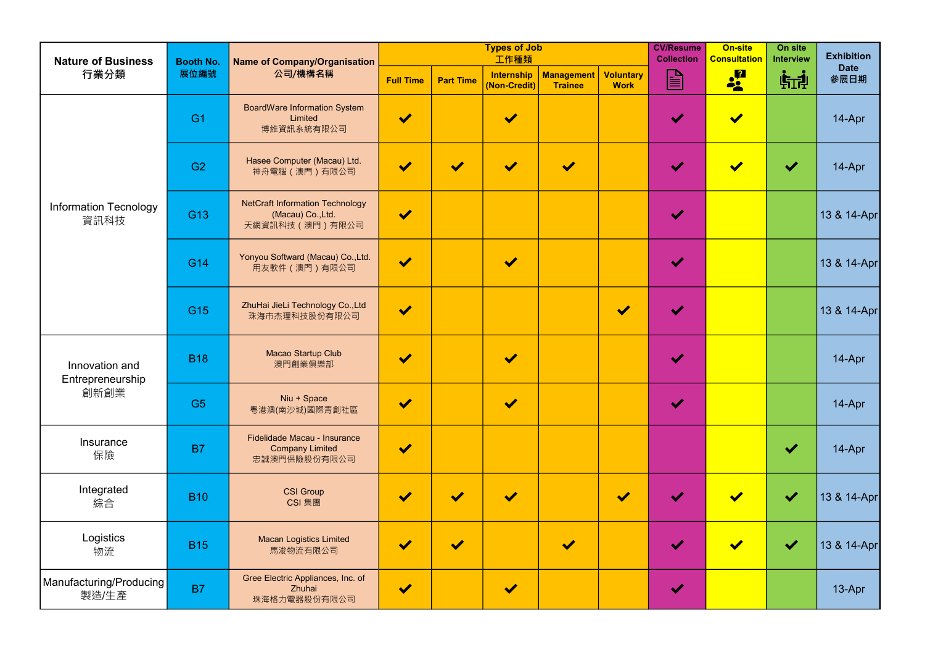| <b>Nature of Business</b>                  | <b>Booth No.</b><br>展位編號 | <b>Name of Company/Organisation</b><br>公司/機構名稱                                  |                      |                       | <b>Types of Job</b><br>工作種類       |                              | <b>CV/Resume</b><br><b>Collection</b> | <b>On-site</b><br><b>Consultation</b> | On site<br><b>Interview</b> | <b>Exhibition</b>    |                     |
|--------------------------------------------|--------------------------|---------------------------------------------------------------------------------|----------------------|-----------------------|-----------------------------------|------------------------------|---------------------------------------|---------------------------------------|-----------------------------|----------------------|---------------------|
| 行業分類                                       |                          |                                                                                 | <b>Full Time</b>     | <b>Part Time</b>      | <b>Internship</b><br>(Non-Credit) | Management<br><b>Trainee</b> | <b>Voluntary</b><br><b>Work</b>       | B                                     | <b>of</b> a                 | 航乱                   | <b>Date</b><br>參展日期 |
| <b>Information Tecnology</b><br>資訊科技       | G <sub>1</sub>           | <b>BoardWare Information System</b><br>Limited<br>博維資訊系統有限公司                    | $\blacktriangledown$ |                       | $\blacktriangledown$              |                              |                                       | $\blacktriangledown$                  | $\blacktriangledown$        |                      | 14-Apr              |
|                                            | G <sub>2</sub>           | Hasee Computer (Macau) Ltd.<br>神舟電腦(澳門)有限公司                                     | $\blacktriangledown$ | $\blacktriangleright$ | $\blacktriangledown$              | $\blacktriangledown$         |                                       | $\blacktriangledown$                  | $\blacktriangledown$        | $\blacktriangledown$ | 14-Apr              |
|                                            | G13                      | <b>NetCraft Information Technology</b><br>(Macau) Co., Ltd.<br>天網資訊科技 (澳門) 有限公司 | $\blacktriangledown$ |                       |                                   |                              |                                       | $\blacktriangledown$                  |                             |                      | 13 & 14-Apr         |
|                                            | G14                      | Yonyou Softward (Macau) Co., Ltd.<br>用友軟件 (澳門) 有限公司                             | $\blacktriangledown$ |                       | $\blacktriangledown$              |                              |                                       | $\blacktriangledown$                  |                             |                      | 13 & 14-Apr         |
|                                            | G15                      | ZhuHai JieLi Technology Co., Ltd<br>珠海市杰理科技股份有限公司                               | $\blacktriangledown$ |                       |                                   |                              | $\blacktriangledown$                  | $\blacktriangledown$                  |                             |                      | 13 & 14-Apr         |
| Innovation and<br>Entrepreneurship<br>創新創業 | <b>B18</b>               | Macao Startup Club<br>澳門創業俱樂部                                                   | $\blacktriangledown$ |                       | $\blacktriangledown$              |                              |                                       | $\blacktriangledown$                  |                             |                      | 14-Apr              |
|                                            | G <sub>5</sub>           | Niu + Space<br>粵港澳(南沙城)國際青創社區                                                   | $\blacktriangledown$ |                       | $\blacktriangledown$              |                              |                                       | $\blacktriangledown$                  |                             |                      | 14-Apr              |
| Insurance<br>保險                            | <b>B7</b>                | Fidelidade Macau - Insurance<br><b>Company Limited</b><br>忠誠澳門保險股份有限公司          | $\blacktriangledown$ |                       |                                   |                              |                                       |                                       |                             | $\blacktriangledown$ | 14-Apr              |
| Integrated<br>綜合                           | <b>B10</b>               | <b>CSI Group</b><br>CSI 集團                                                      | $\blacktriangledown$ | $\blacktriangleright$ | $\blacktriangledown$              |                              | $\blacktriangledown$                  |                                       | $\blacktriangledown$        | $\blacktriangledown$ | 13 & 14-Apr         |
| Logistics<br>物流                            | <b>B15</b>               | <b>Macan Logistics Limited</b><br>馬浚物流有限公司                                      | $\blacktriangledown$ | $\blacktriangledown$  |                                   | $\blacktriangledown$         |                                       | $\blacktriangleright$                 | $\blacktriangledown$        | $\blacktriangledown$ | 13 & 14-Apr         |
| Manufacturing/Producing<br>製造/生產           | <b>B7</b>                | Gree Electric Appliances, Inc. of<br>Zhuhai<br>珠海格力電器股份有限公司                     | $\blacktriangledown$ |                       | $\blacktriangledown$              |                              |                                       | $\blacktriangledown$                  |                             |                      | 13-Apr              |